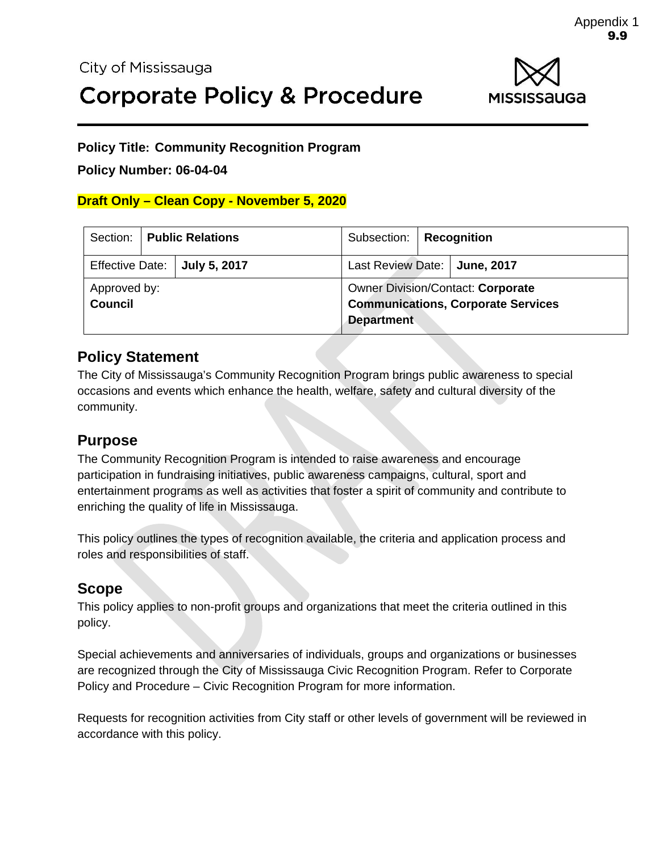# **Corporate Policy & Procedure**



#### **Policy Title: Community Recognition Program**

#### **Policy Number: 06-04-04**

#### **Draft Only – Clean Copy - November 5, 2020**

| Section:                             | <b>Public Relations</b> |  | Subsection:                                                                                                | <b>Recognition</b> |  |
|--------------------------------------|-------------------------|--|------------------------------------------------------------------------------------------------------------|--------------------|--|
| Effective Date: $\vert$ July 5, 2017 |                         |  | Last Review Date:   June, 2017                                                                             |                    |  |
| Approved by:<br><b>Council</b>       |                         |  | <b>Owner Division/Contact: Corporate</b><br><b>Communications, Corporate Services</b><br><b>Department</b> |                    |  |

## **Policy Statement**

The City of Mississauga's Community Recognition Program brings public awareness to special occasions and events which enhance the health, welfare, safety and cultural diversity of the community.

#### **Purpose**

The Community Recognition Program is intended to raise awareness and encourage participation in fundraising initiatives, public awareness campaigns, cultural, sport and entertainment programs as well as activities that foster a spirit of community and contribute to enriching the quality of life in Mississauga.

This policy outlines the types of recognition available, the criteria and application process and roles and responsibilities of staff.

## **Scope**

This policy applies to non-profit groups and organizations that meet the criteria outlined in this policy.

Special achievements and anniversaries of individuals, groups and organizations or businesses are recognized through the City of Mississauga Civic Recognition Program. Refer to Corporate Policy and Procedure – Civic Recognition Program for more information.

Requests for recognition activities from City staff or other levels of government will be reviewed in accordance with this policy.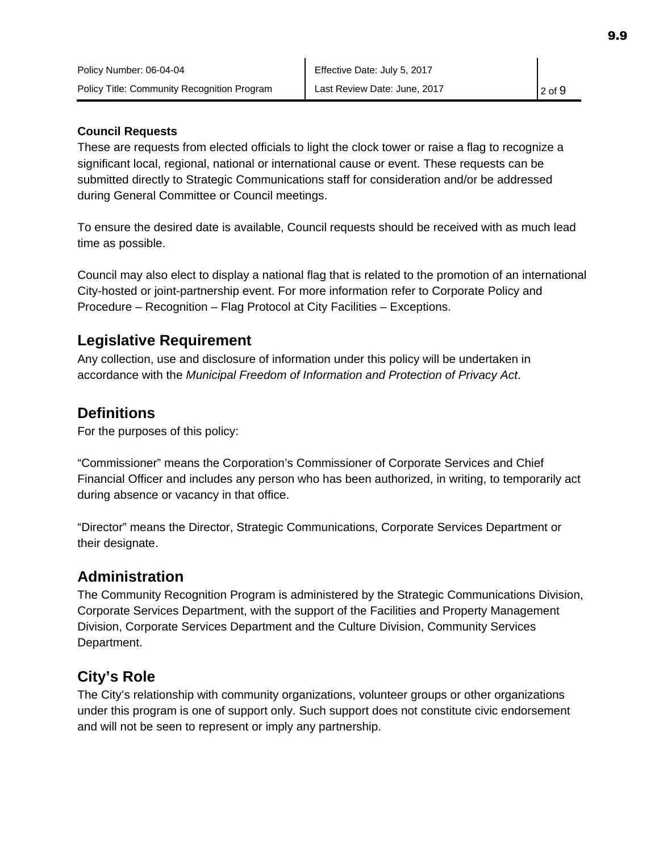#### **Council Requests**

These are requests from elected officials to light the clock tower or raise a flag to recognize a significant local, regional, national or international cause or event. These requests can be submitted directly to Strategic Communications staff for consideration and/or be addressed during General Committee or Council meetings.

To ensure the desired date is available, Council requests should be received with as much lead time as possible.

Council may also elect to display a national flag that is related to the promotion of an international City-hosted or joint-partnership event. For more information refer to Corporate Policy and Procedure – Recognition – Flag Protocol at City Facilities – Exceptions.

# **Legislative Requirement**

Any collection, use and disclosure of information under this policy will be undertaken in accordance with the *Municipal Freedom of Information and Protection of Privacy Act*.

# **Definitions**

For the purposes of this policy:

"Commissioner" means the Corporation's Commissioner of Corporate Services and Chief Financial Officer and includes any person who has been authorized, in writing, to temporarily act during absence or vacancy in that office.

"Director" means the Director, Strategic Communications, Corporate Services Department or their designate.

# **Administration**

The Community Recognition Program is administered by the Strategic Communications Division, Corporate Services Department, with the support of the Facilities and Property Management Division, Corporate Services Department and the Culture Division, Community Services Department.

# **City's Role**

The City's relationship with community organizations, volunteer groups or other organizations under this program is one of support only. Such support does not constitute civic endorsement and will not be seen to represent or imply any partnership.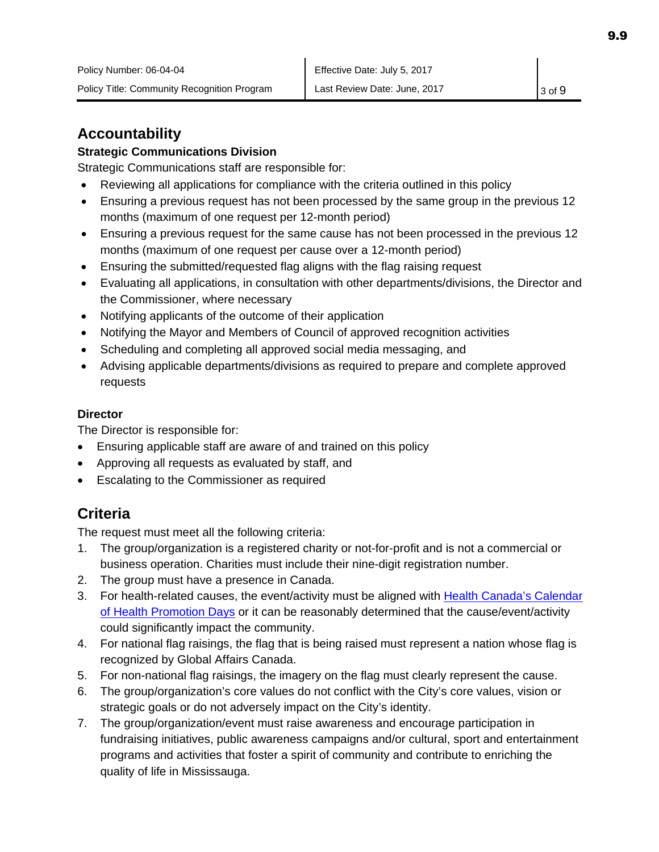# **Accountability**

#### **Strategic Communications Division**

Strategic Communications staff are responsible for:

- Reviewing all applications for compliance with the criteria outlined in this policy
- Ensuring a previous request has not been processed by the same group in the previous 12 months (maximum of one request per 12-month period)
- Ensuring a previous request for the same cause has not been processed in the previous 12 months (maximum of one request per cause over a 12-month period)
- Ensuring the submitted/requested flag aligns with the flag raising request
- Evaluating all applications, in consultation with other departments/divisions, the Director and the Commissioner, where necessary
- Notifying applicants of the outcome of their application
- Notifying the Mayor and Members of Council of approved recognition activities
- Scheduling and completing all approved social media messaging, and
- Advising applicable departments/divisions as required to prepare and complete approved requests

#### **Director**

The Director is responsible for:

- Ensuring applicable staff are aware of and trained on this policy
- Approving all requests as evaluated by staff, and
- Escalating to the Commissioner as required

# **Criteria**

The request must meet all the following criteria:

- 1. The group/organization is a registered charity or not-for-profit and is not a commercial or business operation. Charities must include their nine-digit registration number.
- 2. The group must have a presence in Canada.
- 3. For health-related causes, the event/activity must be aligned with [Health Canada's Calendar](http://hc-sc.gc.ca/ahc-asc/calend/index-eng.php)  [of Health Promotion Days](http://hc-sc.gc.ca/ahc-asc/calend/index-eng.php) or it can be reasonably determined that the cause/event/activity could significantly impact the community.
- 4. For national flag raisings, the flag that is being raised must represent a nation whose flag is recognized by Global Affairs Canada.
- 5. For non-national flag raisings, the imagery on the flag must clearly represent the cause.
- 6. The group/organization's core values do not conflict with the City's core values, vision or strategic goals or do not adversely impact on the City's identity.
- 7. The group/organization/event must raise awareness and encourage participation in fundraising initiatives, public awareness campaigns and/or cultural, sport and entertainment programs and activities that foster a spirit of community and contribute to enriching the quality of life in Mississauga.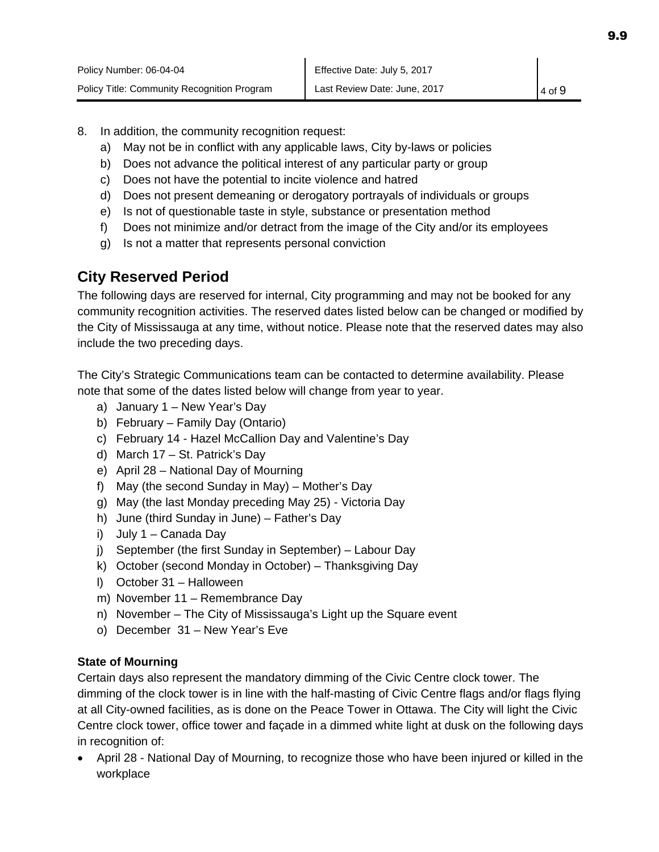- 8. In addition, the community recognition request:
	- a) May not be in conflict with any applicable laws, City by-laws or policies
	- b) Does not advance the political interest of any particular party or group
	- c) Does not have the potential to incite violence and hatred
	- d) Does not present demeaning or derogatory portrayals of individuals or groups
	- e) Is not of questionable taste in style, substance or presentation method
	- f) Does not minimize and/or detract from the image of the City and/or its employees
	- g) Is not a matter that represents personal conviction

# **City Reserved Period**

The following days are reserved for internal, City programming and may not be booked for any community recognition activities. The reserved dates listed below can be changed or modified by the City of Mississauga at any time, without notice. Please note that the reserved dates may also include the two preceding days.

The City's Strategic Communications team can be contacted to determine availability. Please note that some of the dates listed below will change from year to year.

- a) January 1 New Year's Day
- b) February Family Day (Ontario)
- c) February 14 Hazel McCallion Day and Valentine's Day
- d) March 17 St. Patrick's Day
- e) April 28 National Day of Mourning
- f) May (the second Sunday in May) Mother's Day
- g) May (the last Monday preceding May 25) Victoria Day
- h) June (third Sunday in June) Father's Day
- i) July 1 Canada Day
- j) September (the first Sunday in September) Labour Day
- k) October (second Monday in October) Thanksgiving Day
- l) October 31 Halloween
- m) November 11 Remembrance Day
- n) November The City of Mississauga's Light up the Square event
- o) December 31 New Year's Eve

#### **State of Mourning**

Certain days also represent the mandatory dimming of the Civic Centre clock tower. The dimming of the clock tower is in line with the half-masting of Civic Centre flags and/or flags flying at all City-owned facilities, as is done on the Peace Tower in Ottawa. The City will light the Civic Centre clock tower, office tower and façade in a dimmed white light at dusk on the following days in recognition of:

• April 28 - National Day of Mourning, to recognize those who have been injured or killed in the workplace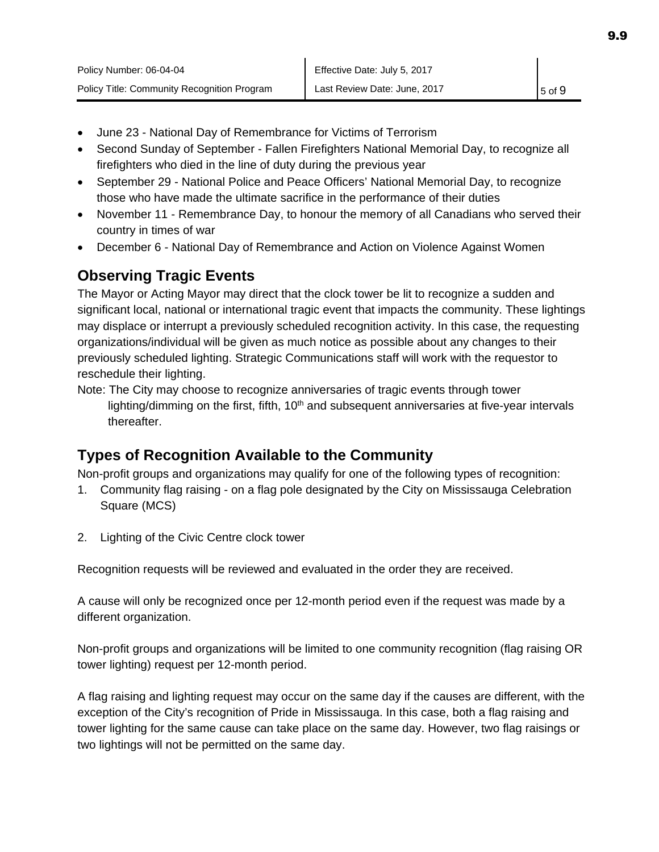- June 23 National Day of Remembrance for Victims of Terrorism
- Second Sunday of September Fallen Firefighters National Memorial Day, to recognize all firefighters who died in the line of duty during the previous year
- September 29 National Police and Peace Officers' National Memorial Day, to recognize those who have made the ultimate sacrifice in the performance of their duties
- November 11 Remembrance Day, to honour the memory of all Canadians who served their country in times of war
- December 6 National Day of Remembrance and Action on Violence Against Women

# **Observing Tragic Events**

The Mayor or Acting Mayor may direct that the clock tower be lit to recognize a sudden and significant local, national or international tragic event that impacts the community. These lightings may displace or interrupt a previously scheduled recognition activity. In this case, the requesting organizations/individual will be given as much notice as possible about any changes to their previously scheduled lighting. Strategic Communications staff will work with the requestor to reschedule their lighting.

Note: The City may choose to recognize anniversaries of tragic events through tower lighting/dimming on the first, fifth,  $10<sup>th</sup>$  and subsequent anniversaries at five-year intervals thereafter.

# **Types of Recognition Available to the Community**

Non-profit groups and organizations may qualify for one of the following types of recognition:

- 1. Community flag raising on a flag pole designated by the City on Mississauga Celebration Square (MCS)
- 2. Lighting of the Civic Centre clock tower

Recognition requests will be reviewed and evaluated in the order they are received.

A cause will only be recognized once per 12-month period even if the request was made by a different organization.

Non-profit groups and organizations will be limited to one community recognition (flag raising OR tower lighting) request per 12-month period.

A flag raising and lighting request may occur on the same day if the causes are different, with the exception of the City's recognition of Pride in Mississauga. In this case, both a flag raising and tower lighting for the same cause can take place on the same day. However, two flag raisings or two lightings will not be permitted on the same day.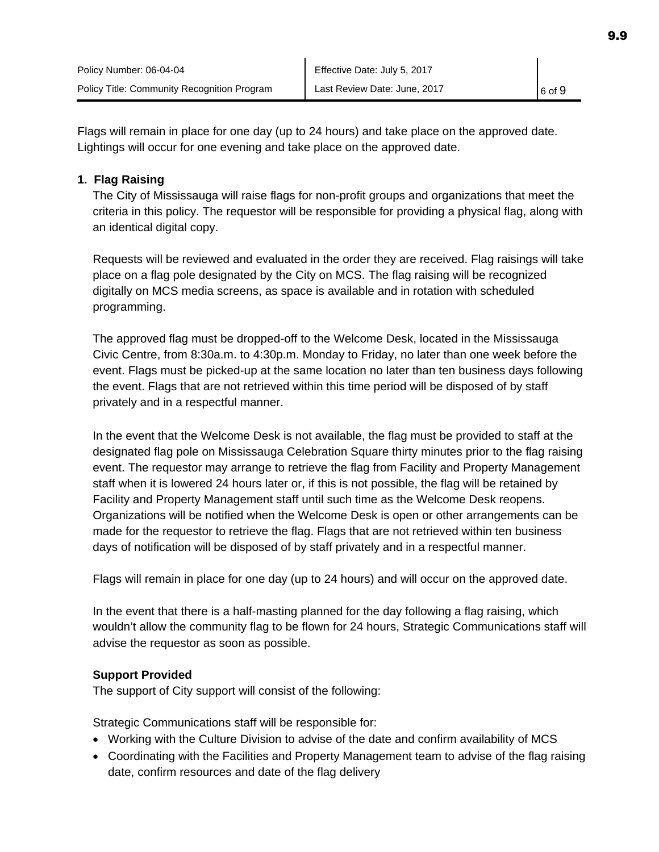Flags will remain in place for one day (up to 24 hours) and take place on the approved date. Lightings will occur for one evening and take place on the approved date.

#### **1. Flag Raising**

The City of Mississauga will raise flags for non-profit groups and organizations that meet the criteria in this policy. The requestor will be responsible for providing a physical flag, along with an identical digital copy.

Requests will be reviewed and evaluated in the order they are received. Flag raisings will take place on a flag pole designated by the City on MCS. The flag raising will be recognized digitally on MCS media screens, as space is available and in rotation with scheduled programming.

The approved flag must be dropped-off to the Welcome Desk, located in the Mississauga Civic Centre, from 8:30a.m. to 4:30p.m. Monday to Friday, no later than one week before the event. Flags must be picked-up at the same location no later than ten business days following the event. Flags that are not retrieved within this time period will be disposed of by staff privately and in a respectful manner.

In the event that the Welcome Desk is not available, the flag must be provided to staff at the designated flag pole on Mississauga Celebration Square thirty minutes prior to the flag raising event. The requestor may arrange to retrieve the flag from Facility and Property Management staff when it is lowered 24 hours later or, if this is not possible, the flag will be retained by Facility and Property Management staff until such time as the Welcome Desk reopens. Organizations will be notified when the Welcome Desk is open or other arrangements can be made for the requestor to retrieve the flag. Flags that are not retrieved within ten business days of notification will be disposed of by staff privately and in a respectful manner.

Flags will remain in place for one day (up to 24 hours) and will occur on the approved date.

In the event that there is a half-masting planned for the day following a flag raising, which wouldn't allow the community flag to be flown for 24 hours, Strategic Communications staff will advise the requestor as soon as possible.

#### **Support Provided**

The support of City support will consist of the following:

Strategic Communications staff will be responsible for:

- Working with the Culture Division to advise of the date and confirm availability of MCS
- Coordinating with the Facilities and Property Management team to advise of the flag raising date, confirm resources and date of the flag delivery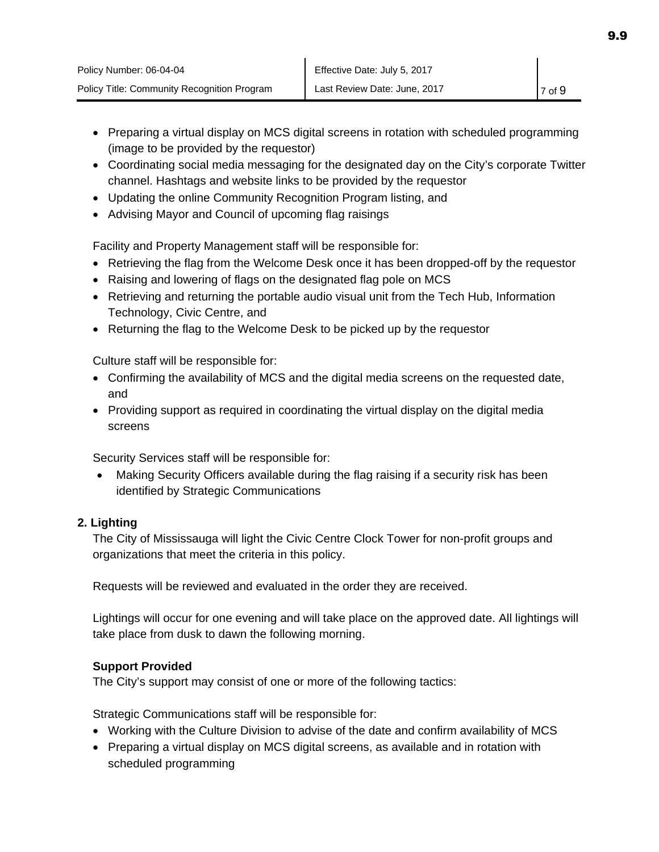- Preparing a virtual display on MCS digital screens in rotation with scheduled programming (image to be provided by the requestor)
- Coordinating social media messaging for the designated day on the City's corporate Twitter channel. Hashtags and website links to be provided by the requestor
- Updating the online Community Recognition Program listing, and
- Advising Mayor and Council of upcoming flag raisings

Facility and Property Management staff will be responsible for:

- Retrieving the flag from the Welcome Desk once it has been dropped-off by the requestor
- Raising and lowering of flags on the designated flag pole on MCS
- Retrieving and returning the portable audio visual unit from the Tech Hub, Information Technology, Civic Centre, and
- Returning the flag to the Welcome Desk to be picked up by the requestor

Culture staff will be responsible for:

- Confirming the availability of MCS and the digital media screens on the requested date, and
- Providing support as required in coordinating the virtual display on the digital media screens

Security Services staff will be responsible for:

• Making Security Officers available during the flag raising if a security risk has been identified by Strategic Communications

## **2. Lighting**

The City of Mississauga will light the Civic Centre Clock Tower for non-profit groups and organizations that meet the criteria in this policy.

Requests will be reviewed and evaluated in the order they are received.

Lightings will occur for one evening and will take place on the approved date. All lightings will take place from dusk to dawn the following morning.

## **Support Provided**

The City's support may consist of one or more of the following tactics:

Strategic Communications staff will be responsible for:

- Working with the Culture Division to advise of the date and confirm availability of MCS
- Preparing a virtual display on MCS digital screens, as available and in rotation with scheduled programming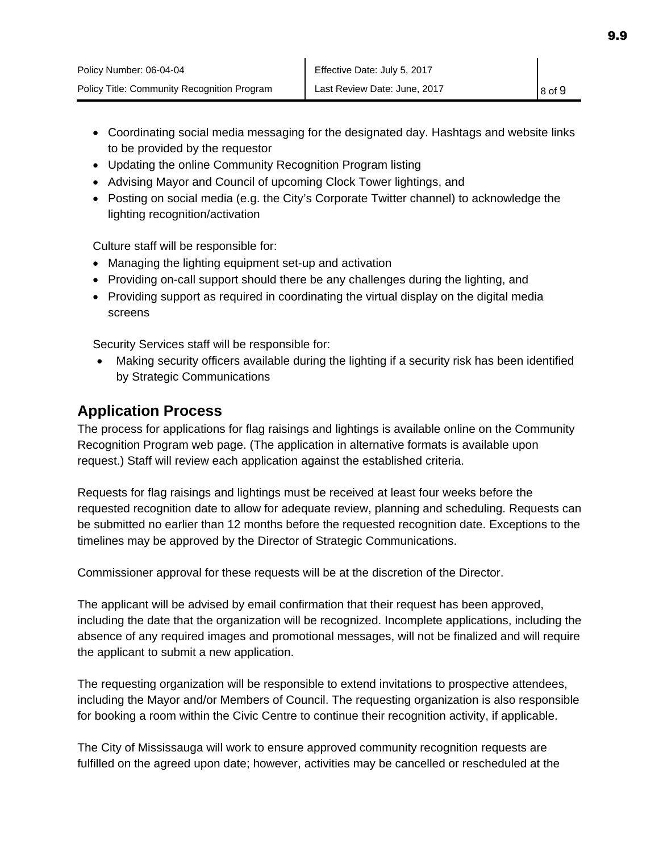- Updating the online Community Recognition Program listing
- Advising Mayor and Council of upcoming Clock Tower lightings, and
- Posting on social media (e.g. the City's Corporate Twitter channel) to acknowledge the lighting recognition/activation

Culture staff will be responsible for:

- Managing the lighting equipment set-up and activation
- Providing on-call support should there be any challenges during the lighting, and
- Providing support as required in coordinating the virtual display on the digital media screens

Security Services staff will be responsible for:

• Making security officers available during the lighting if a security risk has been identified by Strategic Communications

# **Application Process**

The process for applications for flag raisings and lightings is available online on the Community Recognition Program web page. (The application in alternative formats is available upon request.) Staff will review each application against the established criteria.

Requests for flag raisings and lightings must be received at least four weeks before the requested recognition date to allow for adequate review, planning and scheduling. Requests can be submitted no earlier than 12 months before the requested recognition date. Exceptions to the timelines may be approved by the Director of Strategic Communications.

Commissioner approval for these requests will be at the discretion of the Director.

The applicant will be advised by email confirmation that their request has been approved, including the date that the organization will be recognized. Incomplete applications, including the absence of any required images and promotional messages, will not be finalized and will require the applicant to submit a new application.

The requesting organization will be responsible to extend invitations to prospective attendees, including the Mayor and/or Members of Council. The requesting organization is also responsible for booking a room within the Civic Centre to continue their recognition activity, if applicable.

The City of Mississauga will work to ensure approved community recognition requests are fulfilled on the agreed upon date; however, activities may be cancelled or rescheduled at the